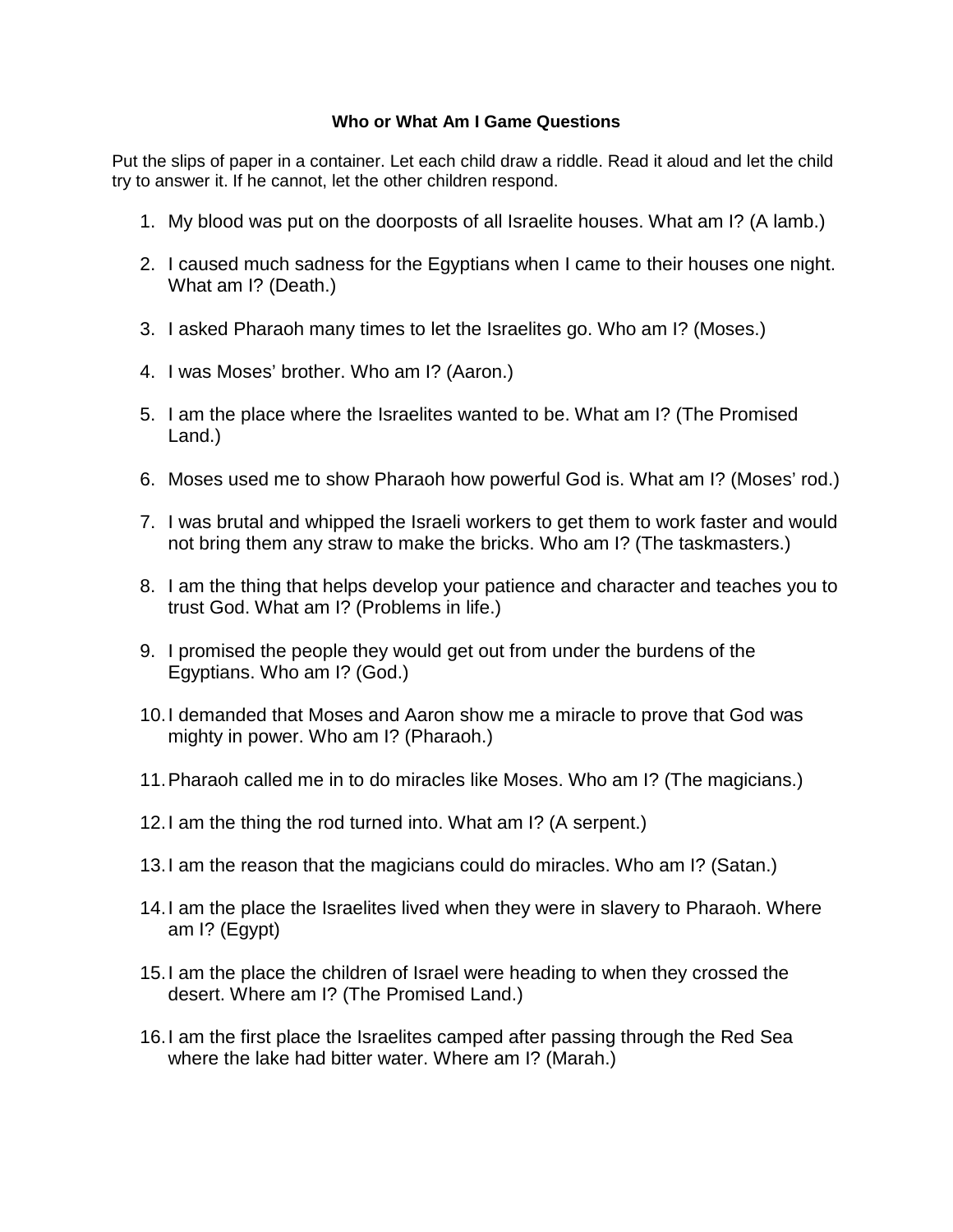## **Who or What Am I Game Questions**

Put the slips of paper in a container. Let each child draw a riddle. Read it aloud and let the child try to answer it. If he cannot, let the other children respond.

- 1. My blood was put on the doorposts of all Israelite houses. What am I? (A lamb.)
- 2. I caused much sadness for the Egyptians when I came to their houses one night. What am I? (Death.)
- 3. I asked Pharaoh many times to let the Israelites go. Who am I? (Moses.)
- 4. I was Moses' brother. Who am I? (Aaron.)
- 5. I am the place where the Israelites wanted to be. What am I? (The Promised Land.)
- 6. Moses used me to show Pharaoh how powerful God is. What am I? (Moses' rod.)
- 7. I was brutal and whipped the Israeli workers to get them to work faster and would not bring them any straw to make the bricks. Who am I? (The taskmasters.)
- 8. I am the thing that helps develop your patience and character and teaches you to trust God. What am I? (Problems in life.)
- 9. I promised the people they would get out from under the burdens of the Egyptians. Who am I? (God.)
- 10.I demanded that Moses and Aaron show me a miracle to prove that God was mighty in power. Who am I? (Pharaoh.)
- 11.Pharaoh called me in to do miracles like Moses. Who am I? (The magicians.)
- 12.I am the thing the rod turned into. What am I? (A serpent.)
- 13.I am the reason that the magicians could do miracles. Who am I? (Satan.)
- 14.I am the place the Israelites lived when they were in slavery to Pharaoh. Where am I? (Egypt)
- 15.I am the place the children of Israel were heading to when they crossed the desert. Where am I? (The Promised Land.)
- 16.I am the first place the Israelites camped after passing through the Red Sea where the lake had bitter water. Where am I? (Marah.)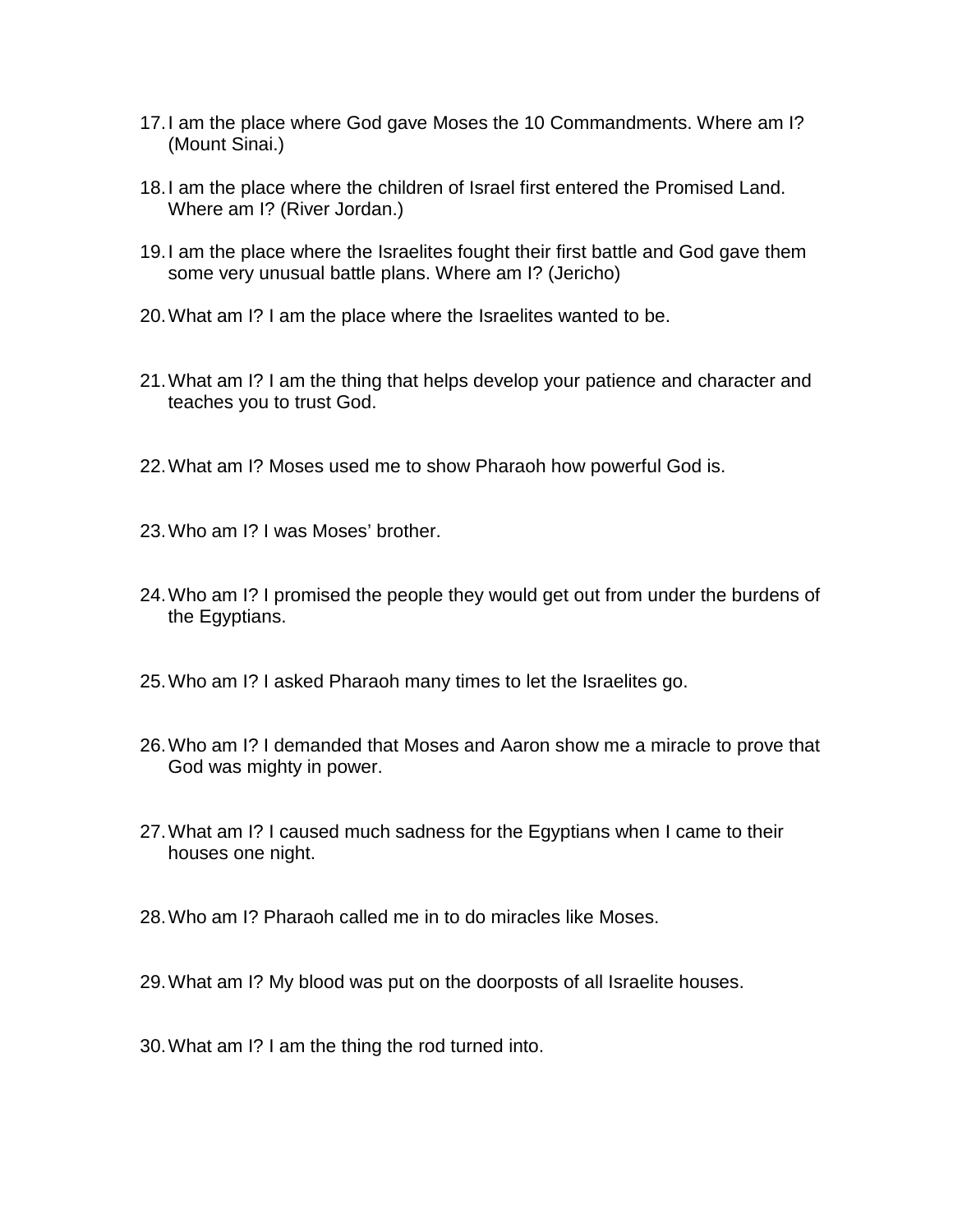- 17.I am the place where God gave Moses the 10 Commandments. Where am I? (Mount Sinai.)
- 18.I am the place where the children of Israel first entered the Promised Land. Where am I? (River Jordan.)
- 19.I am the place where the Israelites fought their first battle and God gave them some very unusual battle plans. Where am I? (Jericho)
- 20.What am I? I am the place where the Israelites wanted to be.
- 21.What am I? I am the thing that helps develop your patience and character and teaches you to trust God.
- 22.What am I? Moses used me to show Pharaoh how powerful God is.
- 23.Who am I? I was Moses' brother.
- 24.Who am I? I promised the people they would get out from under the burdens of the Egyptians.
- 25.Who am I? I asked Pharaoh many times to let the Israelites go.
- 26.Who am I? I demanded that Moses and Aaron show me a miracle to prove that God was mighty in power.
- 27.What am I? I caused much sadness for the Egyptians when I came to their houses one night.
- 28.Who am I? Pharaoh called me in to do miracles like Moses.
- 29.What am I? My blood was put on the doorposts of all Israelite houses.
- 30.What am I? I am the thing the rod turned into.